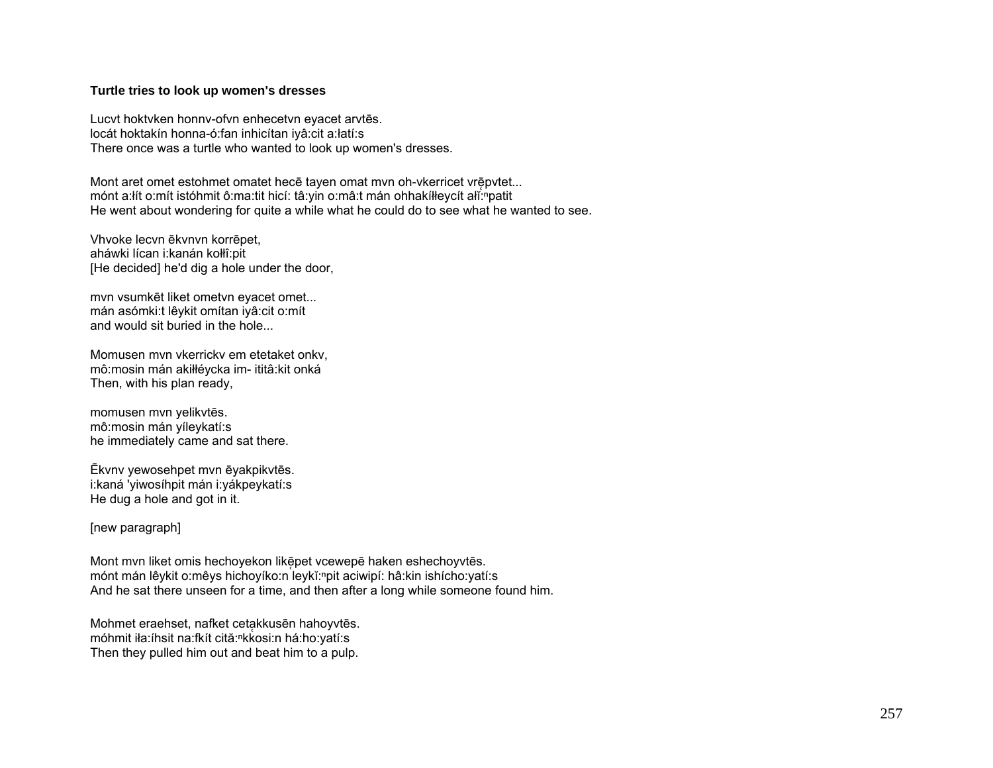## **Turtle tries to look up women's dresses**

Lucvt hoktvken honnv-ofvn enhecetvn eyacet arvtēs. locát hoktakín honna-ó:fan inhicítan iyâ:cit a:łatí:s There once was a turtle who wanted to look up women's dresses.

Mont aret omet estohmet omatet hecē tayen omat myn oh-vkerricet vrēpvtet... mónt a:łít o:mít istóhmit ô:ma:tit hicí: tâ:yin o:mâ:t mán ohhakíłłeycít ałĭ: patit He went about wondering for quite a while what he could do to see what he wanted to see.

Vhvoke lecvn ēkvnvn korrēpet, aháwki lícan i:kanán kołłî:pit [He decided] he'd dig a hole under the door,

mvn vsumkēt liket ometvn eyacet omet... mán asómki:t lêykit omítan iyâ:cit o:mít and would sit buried in the hole...

Momusen mvn vkerrickv em etetaket onkv, mô:mosin mán akiłłéycka im- ititâ:kit onká Then, with his plan ready,

momusen mvn yelikvtēs. mô:mosin mán yíleykatí:s he immediately came and sat there.

Ēkvnv yewosehpet mvn ēyakpikvtēs. i:kaná 'yiwosíhpit mán i:yákpeykatí:s He dug a hole and got in it.

[new paragraph]

Mont mvn liket omis hechoyekon likēpet vcewepē haken eshechoyvtēs. mónt mán lêykit o:mêys hichoyíko:n leykĭ:<sup>n</sup>pit aciwipí: hâ:kin ishícho:yatí:s And he sat there unseen for a time, and then after a long while someone found him.

Mohmet eraehset, nafket cetakkusēn hahoyvtēs. móhmit iła:íhsit na:fkít cită:<sup>n</sup>kkosi:n há:ho:yatí:s Then they pulled him out and beat him to a pulp.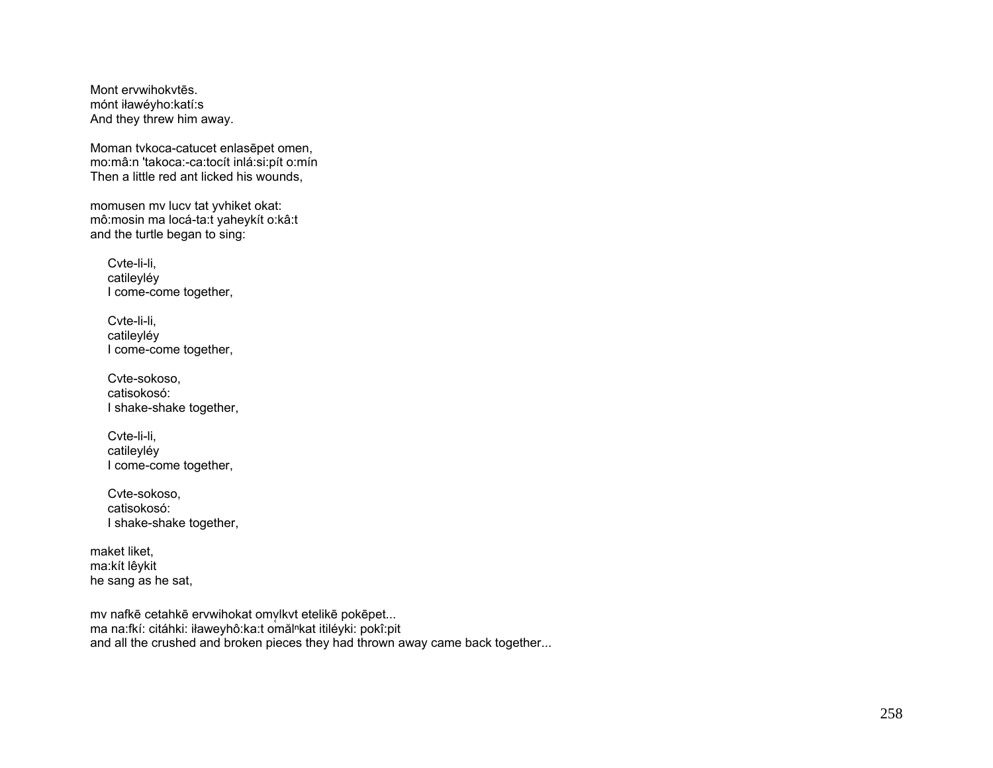Mont ervwihokvtēs. mónt iławéyho:katí:s And they threw him away.

Moman tvkoca-catucet enlasēpet omen, mo:mâ:n 'takoca:-ca:tocít inlá:si:pít o:mín Then a little red ant licked his wounds,

momusen mv lucv tat yvhiket okat: mô:mosin ma locá-ta:t yaheykít o:kâ:t and the turtle began to sing:

Cvte-li-li, catileyléy I come-come together,

Cvte-li-li, catileyléy I come-come together,

Cvte-sokoso, catisokosó: I shake-shake together,

Cvte-li-li, catileyléy I come-come together,

Cvte-sokoso, catisokosó: I shake-shake together,

maket liket. ma:kít lêykit he sang as he sat,

mv nafkē cetahkē ervwihokat omvlkvt etelikē pokēpet... ma na:fkí: citáhki: iławeyhô:ka:t omăl<sup>n</sup>kat itiléyki: pokî:pit and all the crushed and broken pieces they had thrown away came back together...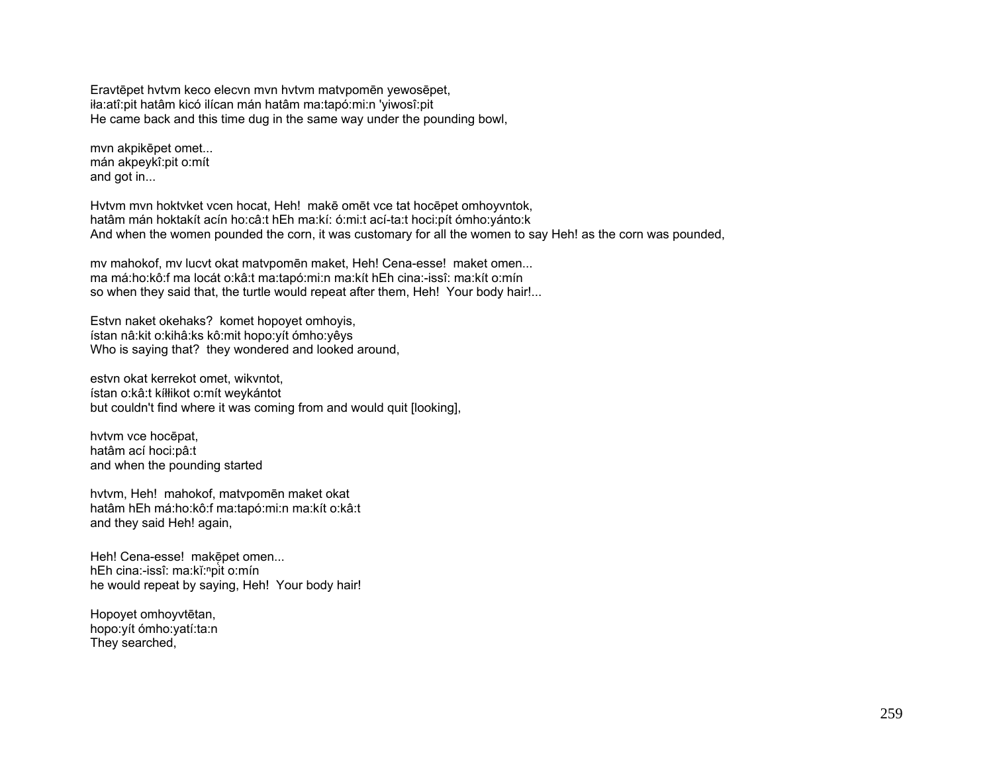Eravtēpet hvtvm keco elecvn mvn hvtvm matvpomēn yewosēpet, iła:atî:pit hatâm kicó ilícan mán hatâm ma:tapó:mi:n 'yiwosî:pit He came back and this time dug in the same way under the pounding bowl,

mvn akpikēpet omet... mán akpeykî:pit o:mít and got in...

Hvtvm mvn hoktvket vcen hocat, Heh! makē omēt vce tat hocēpet omhoyvntok, hatâm mán hoktakít acín ho:câ:t hEh ma:kí: ó:mi:t ací-ta:t hoci:pít ómho:yánto:k And when the women pounded the corn, it was customary for all the women to say Heh! as the corn was pounded,

mv mahokof, mv lucvt okat matvpomēn maket, Heh! Cena-esse! maket omen... ma má:ho:kô:f ma locát o:kâ:t ma:tapó:mi:n ma:kít hEh cina:-issî: ma:kít o:mín so when they said that, the turtle would repeat after them, Heh! Your body hair!...

Estvn naket okehaks? komet hopoyet omhoyis, ístan nâ:kit o:kihâ:ks kô:mit hopo:yít ómho:yêys Who is saying that? they wondered and looked around,

estvn okat kerrekot omet, wikvntot, ístan o:kâ:t kíłłikot o:mít weykántot but couldn't find where it was coming from and would quit [looking],

hvtvm vce hocēpat, hatâm ací hoci:pâ:t and when the pounding started

hvtvm, Heh! mahokof, matvpomēn maket okat hatâm hEh má:ho:kô:f ma:tapó:mi:n ma:kít o:kâ:t and they said Heh! again,

Heh! Cena-esse! makē̞pet omen... hEh cina:-issî: ma:kĭ:<sup>n</sup>pit o:mín he would repeat by saying, Heh! Your body hair!

Hopoyet omhoyvtētan, hopo:yít ómho:yatí:ta:n They searched,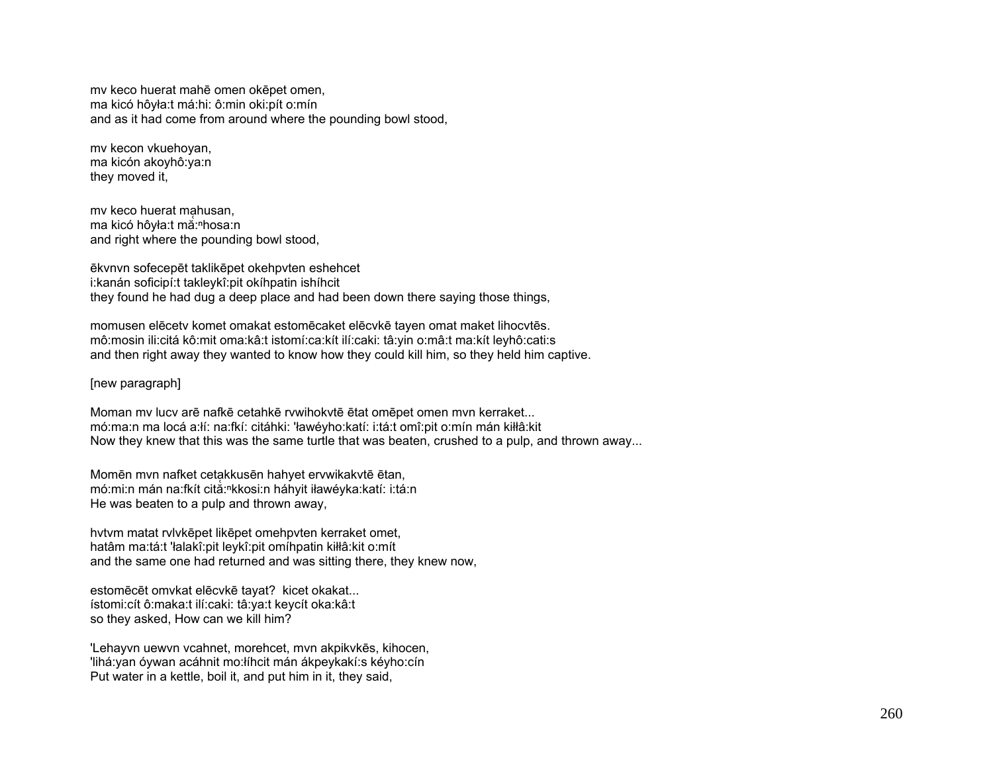mv keco huerat mahē omen okēpet omen, ma kicó hôyła:t má:hi: ô:min oki:pít o:mín and as it had come from around where the pounding bowl stood,

mv kecon vkuehoyan, ma kicón akoyhô:ya:n they moved it,

mv keco huerat mạhusan, ma kicó hôyła:t ma:<sup>n</sup>hosa:n and right where the pounding bowl stood,

ēkvnvn sofecepēt taklikēpet okehpvten eshehcet i:kanán soficipí:t takleykî:pit okíhpatin ishíhcit they found he had dug a deep place and had been down there saying those things,

momusen elēcetv komet omakat estomēcaket elēcvkē tayen omat maket lihocvtēs. mô:mosin ili:citá kô:mit oma:kâ:t istomí:ca:kít ilí:caki: tâ:yin o:mâ:t ma:kít leyhô:cati:s and then right away they wanted to know how they could kill him, so they held him captive.

[new paragraph]

Moman mv lucv arē nafkē cetahkē rvwihokvtē ētat omēpet omen mvn kerraket... mó:ma:n ma locá a:łí: na:fkí: citáhki: 'ławéyho:katí: i:tá:t omî:pit o:mín mán kiłłâ:kit Now they knew that this was the same turtle that was beaten, crushed to a pulp, and thrown away...

Momēn mvn nafket cetakkusēn hahyet ervwikakvtē ētan, mó:mi:n mán na:fkít cită:<sup>ⁿ</sup>kkosi:n háhyit iławéyka:katí: i:tá:n He was beaten to a pulp and thrown away,

hvtvm matat rvlvkēpet likēpet omehpvten kerraket omet, hatâm ma:tá:t 'łalakî:pit leykî:pit omíhpatin kiłłâ:kit o:mít and the same one had returned and was sitting there, they knew now,

estomēcēt omvkat elēcvkē tayat? kicet okakat... ístomi:cít ô:maka:t ilí:caki: tâ:ya:t keycít oka:kâ:t so they asked, How can we kill him?

'Lehayvn uewvn vcahnet, morehcet, mvn akpikvkēs, kihocen, 'lihá:yan óywan acáhnit mo:łíhcit mán ákpeykakí:s kéyho:cín Put water in a kettle, boil it, and put him in it, they said,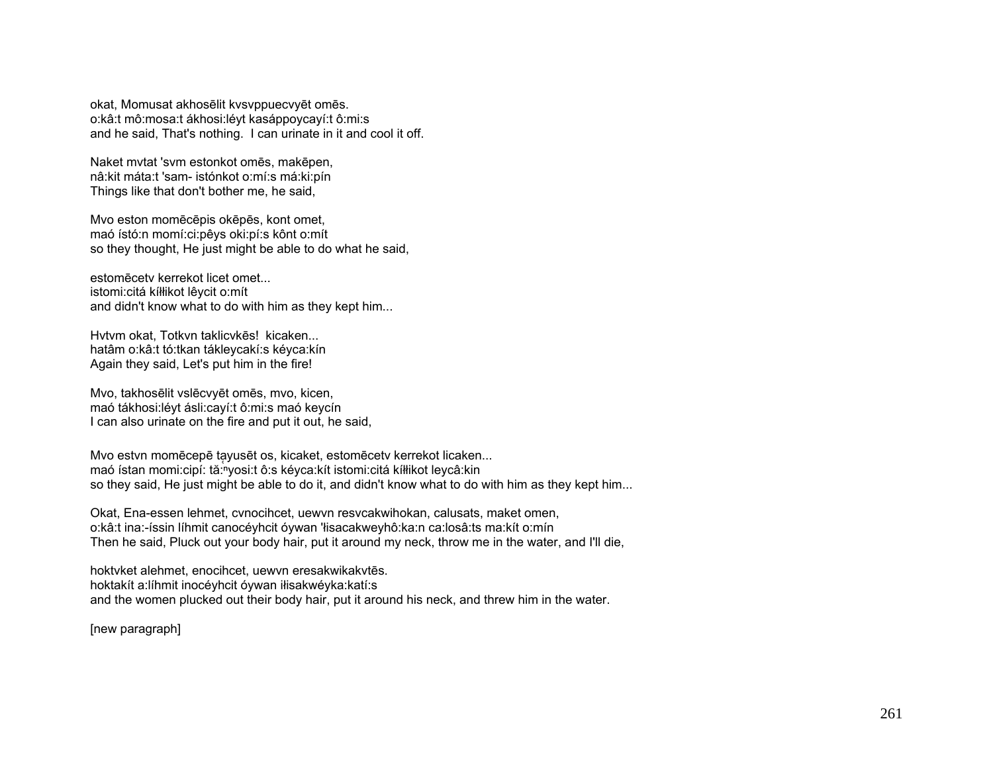okat, Momusat akhosēlit kvsvppuecvyēt omēs. o:kâ:t mô:mosa:t ákhosi:léyt kasáppoycayí:t ô:mi:s and he said, That's nothing. I can urinate in it and cool it off.

Naket mvtat 'svm estonkot omēs, makēpen, nâ:kit máta:t 'sam- istónkot o:mí:s má:ki:pín Things like that don't bother me, he said,

Mvo eston momēcēpis okēpēs, kont omet, maó ístó:n momí:ci:pêys oki:pí:s kônt o:mít so they thought, He just might be able to do what he said,

estomēcetv kerrekot licet omet... istomi:citá kíłłikot lêycit o:mít and didn't know what to do with him as they kept him...

Hvtvm okat, Totkvn taklicvkēs! kicaken... hatâm o:kâ:t tó:tkan tákleycakí:s kéyca:kín Again they said, Let's put him in the fire!

Mvo, takhosēlit vslēcvyēt omēs, mvo, kicen, maó tákhosi:léyt ásli:cayí:t ô:mi:s maó keycín I can also urinate on the fire and put it out, he said,

Mvo estvn momēcepē tayusēt os, kicaket, estomēcetv kerrekot licaken... maó ístan momi:cipí: tă: vosi:t ô:s kéyca:kít istomi:citá kíłłikot leycâ:kin so they said, He just might be able to do it, and didn't know what to do with him as they kept him...

Okat, Ena-essen lehmet, cvnocihcet, uewvn resvcakwihokan, calusats, maket omen, o:kâ:t ina:-íssin líhmit canocéyhcit óywan 'łisacakweyhô:ka:n ca:losâ:ts ma:kít o:mín Then he said, Pluck out your body hair, put it around my neck, throw me in the water, and I'll die,

hoktvket alehmet, enocihcet, uewvn eresakwikakvtēs. hoktakít a:líhmit inocéyhcit óywan iłisakwéyka:katí:s and the women plucked out their body hair, put it around his neck, and threw him in the water.

[new paragraph]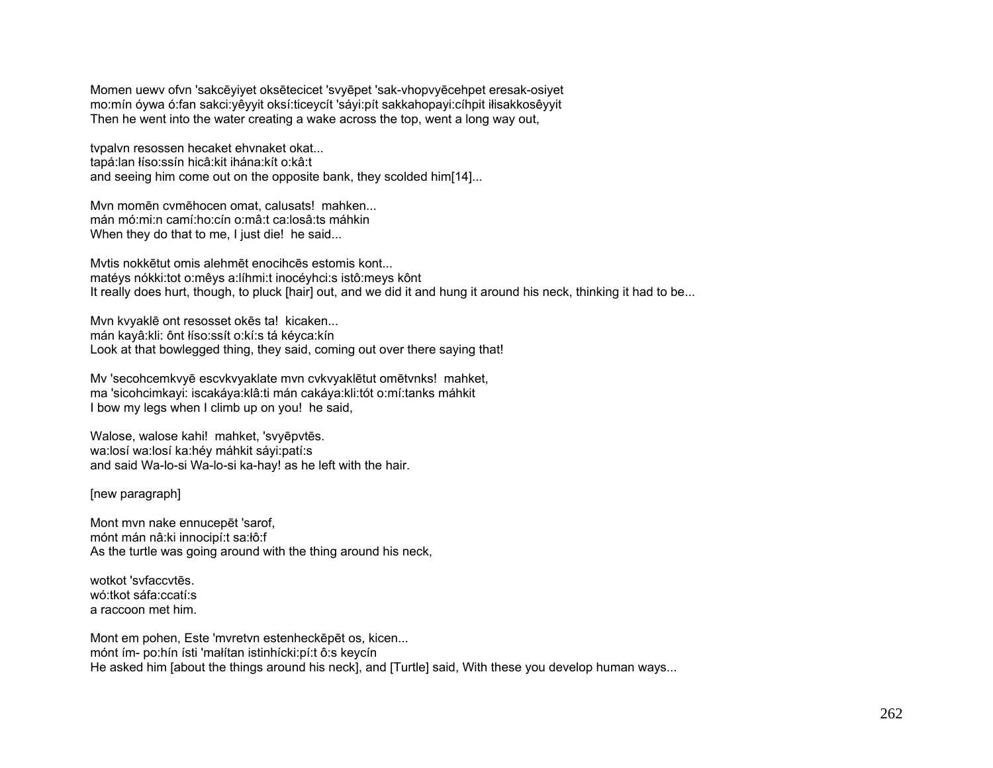Momen uewv ofvn 'sakcēyiyet oksētecicet 'svyēpet 'sak-vhopvyēcehpet eresak-osiyet mo:mín óywa ó:fan sakci:yêyyit oksí:ticeycít 'sáyi:pít sakkahopayi:cíhpit iłisakkosêyyit Then he went into the water creating a wake across the top, went a long way out,

tvpalvn resossen hecaket ehvnaket okat... tapá:lan łíso:ssín hicâ:kit ihána:kít o:kâ:t and seeing him come out on the opposite bank, they scolded him[14]...

Mvn momēn cvmēhocen omat, calusats! mahken... mán mó:mi:n camí:ho:cín o:mâ:t ca:losâ:ts máhkin When they do that to me, I just die! he said...

Mvtis nokkētut omis alehmēt enocihcēs estomis kont... matéys nókki:tot o:mêys a:líhmi:t inocéyhci:s istô:meys kônt It really does hurt, though, to pluck [hair] out, and we did it and hung it around his neck, thinking it had to be...

Mvn kvyaklē ont resosset okēs ta! kicaken... mán kayâ:kli: ônt łíso:ssít o:kí:s tá kéyca:kín Look at that bowlegged thing, they said, coming out over there saying that!

Mv 'secohcemkvyē escvkvyaklate mvn cvkvyaklētut omētvnks! mahket, ma 'sicohcimkayi: iscakáya:klâ:ti mán cakáya:kli:tót o:mí:tanks máhkit I bow my legs when I climb up on you! he said,

Walose, walose kahi! mahket, 'svyēpvtēs. wa:losí wa:losí ka:héy máhkit sáyi:patí:s and said Wa-lo-si Wa-lo-si ka-hay! as he left with the hair.

[new paragraph]

Mont mvn nake ennucepēt 'sarof, mónt mán nâ:ki innocipí:t sa:łô:f As the turtle was going around with the thing around his neck,

wotkot 'svfaccvtēs. wó:tkot sáfa:ccatí:s a raccoon met him.

Mont em pohen, Este 'mvretvn estenheckēpēt os, kicen... mónt ím- po:hín ísti 'małítan istinhícki:pí:t ô:s keycín He asked him [about the things around his neck], and [Turtle] said, With these you develop human ways...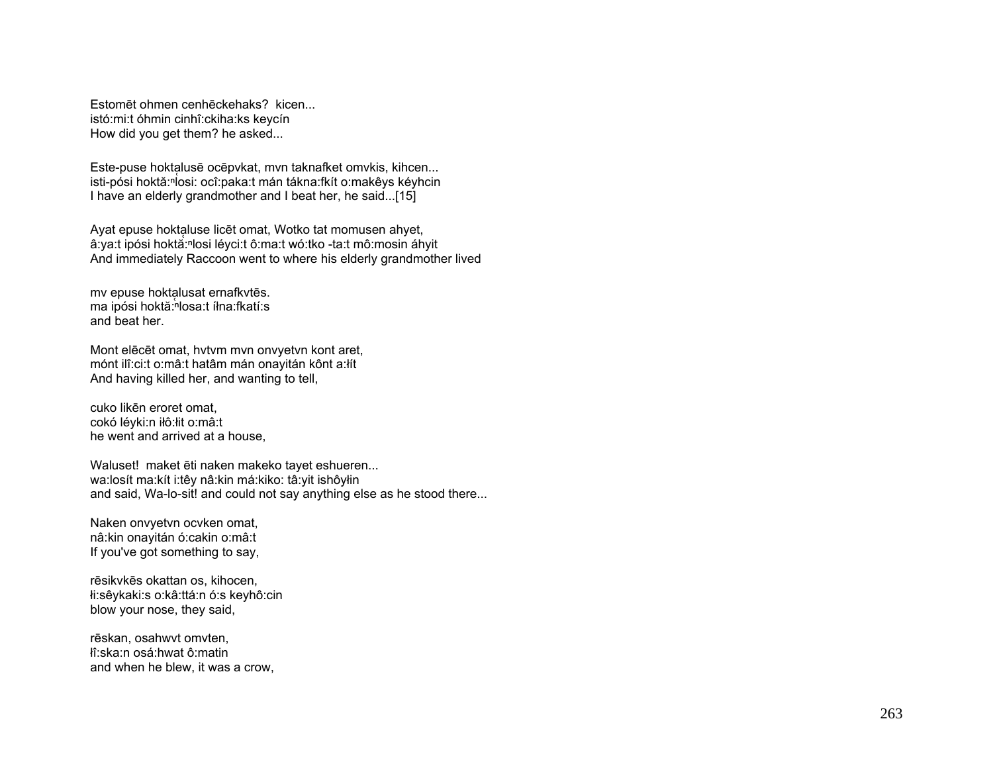Estomēt ohmen cenhēckehaks? kicen... istó:mi:t óhmin cinhî:ckiha:ks keycín How did you get them? he asked...

Este-puse hoktalusē ocēpvkat, mvn taknafket omvkis, kihcen... isti-pósi hoktă:<sup>ⁿ</sup>losi: ocî:paka:t mán tákna:fkít o:makêys kéyhcin I have an elderly grandmother and I beat her, he said...[15]

Ayat epuse hoktaluse licēt omat, Wotko tat momusen ahyet, â:ya:t ipósi hoktă:<sup>ⁿ</sup>losi léyci:t ô:ma:t wó:tko -ta:t mô:mosin áhyit And immediately Raccoon went to where his elderly grandmother lived

my epuse hoktalusat ernafkytēs. ma ipósi hoktă: <sup>n</sup>losa:t íłna:fkatí:s and beat her.

Mont elēcēt omat, hvtvm mvn onvyetvn kont aret, mónt ilî:ci:t o:mâ:t hatâm mán onayitán kônt a:łít And having killed her, and wanting to tell,

cuko likēn eroret omat, cokó léyki:n iłô:łit o:mâ:t he went and arrived at a house,

Waluset! maket ēti naken makeko tayet eshueren... wa:losít ma:kít i:têy nâ:kin má:kiko: tâ:yit ishôyłin and said, Wa-lo-sit! and could not say anything else as he stood there...

Naken onvyetvn ocvken omat, nâ:kin onayitán ó:cakin o:mâ:t If you've got something to say,

<sup>r</sup>ēsikvkēs okattan os, kihocen, łi:sêykaki:s o:kâ:ttá:n ó:s keyhô:cin blow your nose, they said,

<sup>r</sup>ēskan, osahwvt omvten, łî:ska:n osá:hwat ô:matin and when he blew, it was a crow,